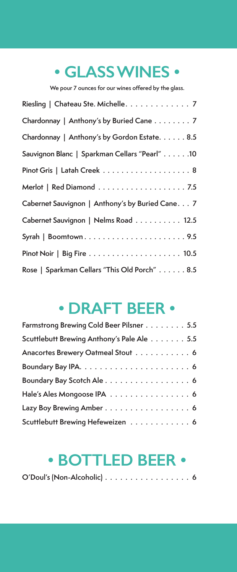## **• GLASS WINES •**

**We pour 7 ounces for our wines offered by the glass.**

| Riesling   Chateau Ste. Michelle. 7              |
|--------------------------------------------------|
| Chardonnay   Anthony's by Buried Cane 7          |
| Chardonnay   Anthony's by Gordon Estate. 8.5     |
| Sauvignon Blanc   Sparkman Cellars "Pearl" 10    |
|                                                  |
|                                                  |
| Cabernet Sauvignon   Anthony's by Buried Cane. 7 |
| Cabernet Sauvignon   Nelms Road 12.5             |
|                                                  |
|                                                  |
| Rose   Sparkman Cellars "This Old Porch" 8.5     |

## **• DRAFT BEER •**

| Farmstrong Brewing Cold Beer Pilsner 5.5   |
|--------------------------------------------|
| Scuttlebutt Brewing Anthony's Pale Ale 5.5 |
| Anacortes Brewery Oatmeal Stout 6          |
|                                            |
| Boundary Bay Scotch Ale 6                  |
| Hale's Ales Mongoose IPA 6                 |
| Lazy Boy Brewing Amber 6                   |
| Scuttlebutt Brewing Hefeweizen 6           |

## **• BOTTLED BEER •**